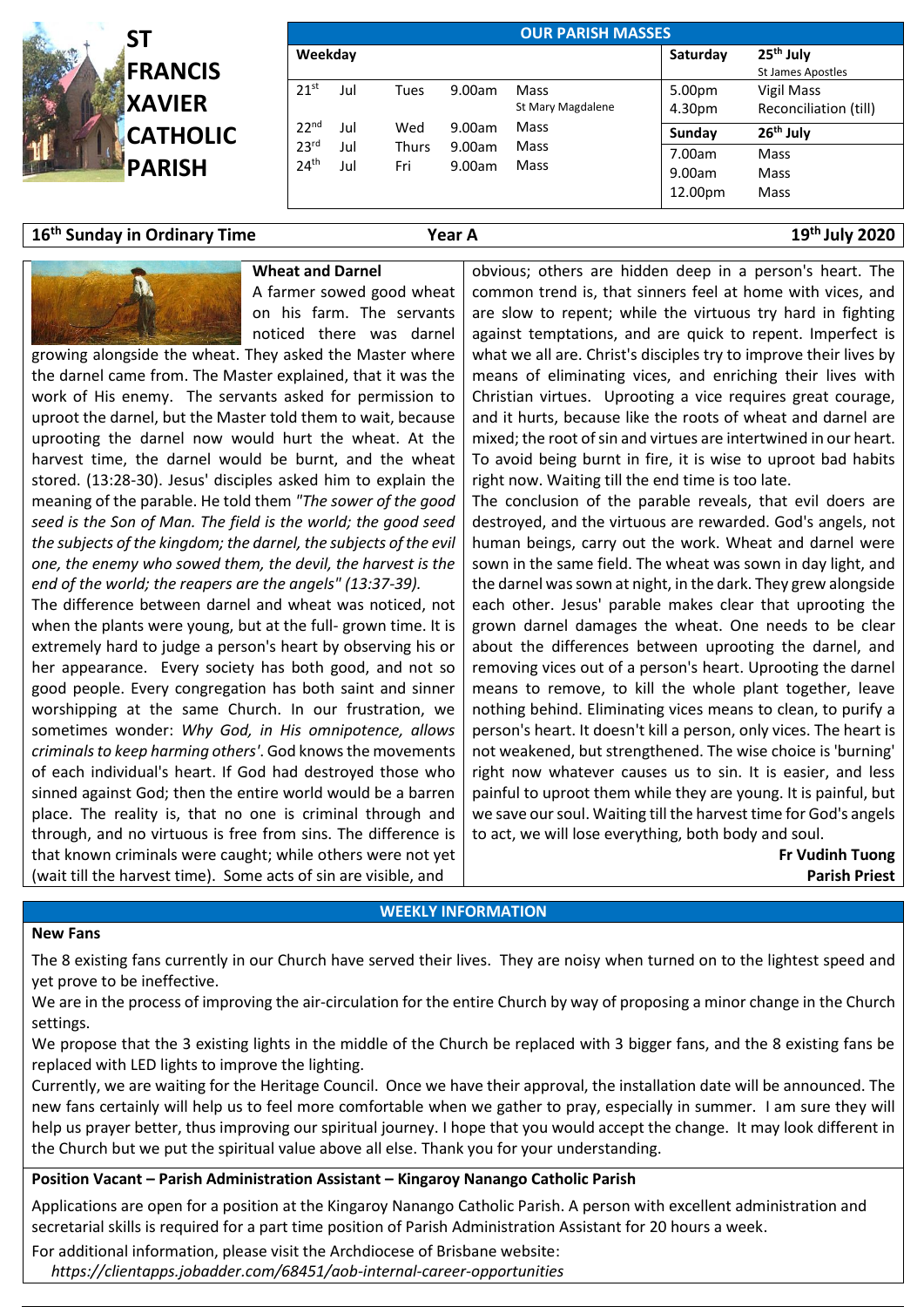

| <b>OUR PARISH MASSES</b>             |            |              |                  |                           |                             |                                                   |  |  |  |  |  |
|--------------------------------------|------------|--------------|------------------|---------------------------|-----------------------------|---------------------------------------------------|--|--|--|--|--|
| Weekday                              |            |              |                  |                           | Saturday                    | 25 <sup>th</sup> July<br><b>St James Apostles</b> |  |  |  |  |  |
| 21 <sup>st</sup>                     | Jul        | Tues         | 9.00am           | Mass<br>St Mary Magdalene | 5.00pm<br>4.30pm            | Vigil Mass<br>Reconciliation (till)               |  |  |  |  |  |
| 22 <sup>nd</sup>                     | Jul        | Wed          | 9.00am           | Mass                      | Sunday                      | 26 <sup>th</sup> July                             |  |  |  |  |  |
| 23 <sup>rd</sup><br>24 <sup>th</sup> | Jul<br>Jul | Thurs<br>Fri | 9.00am<br>9.00am | Mass<br>Mass              | 7.00am<br>9.00am<br>12.00pm | Mass<br>Mass<br>Mass                              |  |  |  |  |  |

# **16th Sunday in Ordinary Time Year A 19**

# **th July 2020**

#### **Wheat and Darnel**

A farmer sowed good wheat on his farm. The servants noticed there was darnel

growing alongside the wheat. They asked the Master where the darnel came from. The Master explained, that it was the work of His enemy. The servants asked for permission to uproot the darnel, but the Master told them to wait, because uprooting the darnel now would hurt the wheat. At the harvest time, the darnel would be burnt, and the wheat stored. (13:28-30). Jesus' disciples asked him to explain the meaning of the parable. He told them *"The sower of the good seed is the Son of Man. The field is the world; the good seed the subjects of the kingdom; the darnel, the subjects of the evil one, the enemy who sowed them, the devil, the harvest is the end of the world; the reapers are the angels" (13:37-39).*

The difference between darnel and wheat was noticed, not when the plants were young, but at the full- grown time. It is extremely hard to judge a person's heart by observing his or her appearance. Every society has both good, and not so good people. Every congregation has both saint and sinner worshipping at the same Church. In our frustration, we sometimes wonder: *Why God, in His omnipotence, allows criminals to keep harming others'*. God knows the movements of each individual's heart. If God had destroyed those who sinned against God; then the entire world would be a barren place. The reality is, that no one is criminal through and through, and no virtuous is free from sins. The difference is that known criminals were caught; while others were not yet (wait till the harvest time). Some acts of sin are visible, and

obvious; others are hidden deep in a person's heart. The common trend is, that sinners feel at home with vices, and are slow to repent; while the virtuous try hard in fighting against temptations, and are quick to repent. Imperfect is what we all are. Christ's disciples try to improve their lives by means of eliminating vices, and enriching their lives with Christian virtues. Uprooting a vice requires great courage, and it hurts, because like the roots of wheat and darnel are mixed; the root of sin and virtues are intertwined in our heart. To avoid being burnt in fire, it is wise to uproot bad habits right now. Waiting till the end time is too late.

The conclusion of the parable reveals, that evil doers are destroyed, and the virtuous are rewarded. God's angels, not human beings, carry out the work. Wheat and darnel were sown in the same field. The wheat was sown in day light, and the darnel was sown at night, in the dark. They grew alongside each other. Jesus' parable makes clear that uprooting the grown darnel damages the wheat. One needs to be clear about the differences between uprooting the darnel, and removing vices out of a person's heart. Uprooting the darnel means to remove, to kill the whole plant together, leave nothing behind. Eliminating vices means to clean, to purify a person's heart. It doesn't kill a person, only vices. The heart is not weakened, but strengthened. The wise choice is 'burning' right now whatever causes us to sin. It is easier, and less painful to uproot them while they are young. It is painful, but we save our soul. Waiting till the harvest time for God's angels to act, we will lose everything, both body and soul.

> **Fr Vudinh Tuong Parish Priest**

### **WEEKLY INFORMATION**

#### **New Fans**

The 8 existing fans currently in our Church have served their lives. They are noisy when turned on to the lightest speed and yet prove to be ineffective.

We are in the process of improving the air-circulation for the entire Church by way of proposing a minor change in the Church settings.

We propose that the 3 existing lights in the middle of the Church be replaced with 3 bigger fans, and the 8 existing fans be replaced with LED lights to improve the lighting.

Currently, we are waiting for the Heritage Council. Once we have their approval, the installation date will be announced. The new fans certainly will help us to feel more comfortable when we gather to pray, especially in summer. I am sure they will help us prayer better, thus improving our spiritual journey. I hope that you would accept the change. It may look different in the Church but we put the spiritual value above all else. Thank you for your understanding.

### **Position Vacant – Parish Administration Assistant – Kingaroy Nanango Catholic Parish**

Applications are open for a position at the Kingaroy Nanango Catholic Parish. A person with excellent administration and secretarial skills is required for a part time position of Parish Administration Assistant for 20 hours a week.

For additional information, please visit the Archdiocese of Brisbane website:

 *<https://clientapps.jobadder.com/68451/aob-internal-career-opportunities>*